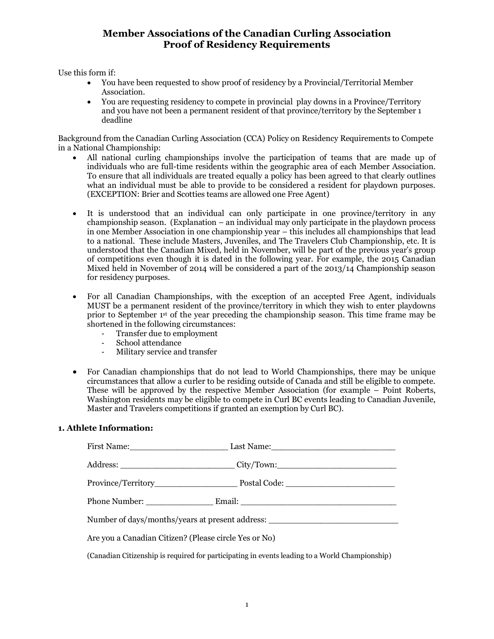## **Member Associations of the Canadian Curling Association Proof of Residency Requirements**

Use this form if:

- You have been requested to show proof of residency by a Provincial/Territorial Member Association.
- You are requesting residency to compete in provincial play downs in a Province/Territory and you have not been a permanent resident of that province/territory by the September 1 deadline

Background from the Canadian Curling Association (CCA) Policy on Residency Requirements to Compete in a National Championship:

- All national curling championships involve the participation of teams that are made up of individuals who are full-time residents within the geographic area of each Member Association. To ensure that all individuals are treated equally a policy has been agreed to that clearly outlines what an individual must be able to provide to be considered a resident for playdown purposes. (EXCEPTION: Brier and Scotties teams are allowed one Free Agent)
- It is understood that an individual can only participate in one province/territory in any championship season. (Explanation – an individual may only participate in the playdown process in one Member Association in one championship year – this includes all championships that lead to a national. These include Masters, Juveniles, and The Travelers Club Championship, etc. It is understood that the Canadian Mixed, held in November, will be part of the previous year's group of competitions even though it is dated in the following year. For example, the 2015 Canadian Mixed held in November of 2014 will be considered a part of the 2013/14 Championship season for residency purposes.
- For all Canadian Championships, with the exception of an accepted Free Agent, individuals MUST be a permanent resident of the province/territory in which they wish to enter playdowns prior to September 1st of the year preceding the championship season. This time frame may be shortened in the following circumstances:
	- Transfer due to employment
	- School attendance
	- Military service and transfer
- For Canadian championships that do not lead to World Championships, there may be unique circumstances that allow a curler to be residing outside of Canada and still be eligible to compete. These will be approved by the respective Member Association (for example – Point Roberts, Washington residents may be eligible to compete in Curl BC events leading to Canadian Juvenile, Master and Travelers competitions if granted an exemption by Curl BC).

## **1. Athlete Information:**

|                                                       | First Name: Last Name: Last Name:                                                              |
|-------------------------------------------------------|------------------------------------------------------------------------------------------------|
|                                                       | Address: _________________________________City/Town:____________________________               |
|                                                       |                                                                                                |
|                                                       |                                                                                                |
|                                                       | Number of days/months/years at present address: _________________________________              |
| Are you a Canadian Citizen? (Please circle Yes or No) |                                                                                                |
|                                                       | (Canadian Citizenship is required for participating in events leading to a World Championship) |